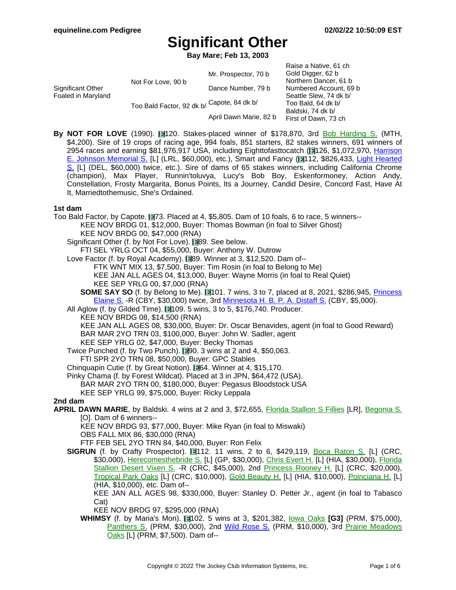**Bay Mare; Feb 13, 2003**

|                                         |                                            | Mr. Prospector, 70 b   | Raise a Native, 61 ch<br>Gold Digger, 62 b                                                |
|-----------------------------------------|--------------------------------------------|------------------------|-------------------------------------------------------------------------------------------|
| Significant Other<br>Foaled in Maryland | Not For Love, 90 b                         | Dance Number, 79 b     | Northern Dancer, 61 b<br>Numbered Account, 69 b                                           |
|                                         | Too Bald Factor, 92 dk b/ Capote, 84 dk b/ |                        | Seattle Slew, 74 dk b/<br>Too Bald, 64 dk b/<br>Baldski, 74 dk b/<br>First of Dawn, 73 ch |
|                                         |                                            | April Dawn Marie, 82 b |                                                                                           |

**By NOT FOR LOVE** (1990). 120. Stakes-placed winner of \$178,870, 3rd Bob H[arding](https://www.equineline.com/dotVideoChart.cfm?track=MTH&country=USA&race_date=1994-09-04&refno=1290030®istry=T&race_name=Bob+Harding+S.&race_number=10&day_evening=D&product_reference_number=40PA) S. (MTH, \$4,200). Sire of 19 crops of racing age, 994 foals, 851 starters, 82 stakes winners, 691 winners of 2954 races and earning \$81,976,917 USA, including Eighttofasttocatch (1126, \$1,072,970, H[arrison](https://www.equineline.com/dotVideoChart.cfm?track=LRL&country=USA&race_date=2012-03-24&raceid=mp4:2012/1308/201203241644LRM9_1308.f4v&refno=7769544®istry=T&race_name=Harrison+E.+Johnson+Memorial+S.&race_number=9&day_evening=D&product_reference_number=40PA) E. Johnson [Memorial](https://www.equineline.com/dotVideoChart.cfm?track=LRL&country=USA&race_date=2012-03-24&raceid=mp4:2012/1308/201203241644LRM9_1308.f4v&refno=7769544®istry=T&race_name=Harrison+E.+Johnson+Memorial+S.&race_number=9&day_evening=D&product_reference_number=40PA) S. [L] (LRL, \$60,000), etc.), Smart and Fancy ( 112, \$826,433, Light [Hearted](https://www.equineline.com/dotVideoChart.cfm?track=DEL&country=USA&race_date=2008-07-13&raceid=mp4:2008/1308/200807131613DLD8_1308.f4v&refno=6946115®istry=T&race_name=Light+Hearted+S.&race_number=8&day_evening=D&product_reference_number=40PA) [S.](https://www.equineline.com/dotVideoChart.cfm?track=DEL&country=USA&race_date=2008-07-13&raceid=mp4:2008/1308/200807131613DLD8_1308.f4v&refno=6946115®istry=T&race_name=Light+Hearted+S.&race_number=8&day_evening=D&product_reference_number=40PA) [L] (DEL, \$60,000) twice, etc.). Sire of dams of 65 stakes winners, including California Chrome (champion), Max Player, Runnin'toluvya, Lucy's Bob Boy, Eskenformoney, Action Andy, Constellation, Frosty Margarita, Bonus Points, Its a Journey, Candid Desire, Concord Fast, Have At It, Marriedtothemusic, She's Ordained.

#### **1st dam**

Too Bald Factor, by Capote. 173. Placed at 4, \$5,805. Dam of 10 foals, 6 to race, 5 winners--KEE NOV BRDG 01, \$12,000, Buyer: Thomas Bowman (in foal to Silver Ghost) KEE NOV BRDG 00, \$47,000 (RNA) Significant Other (f. by Not For Love). 189. See below. FTI SEL YRLG OCT 04, \$55,000, Buyer: Anthony W. Dutrow Love Factor (f. by Royal Academy). 89. Winner at 3, \$12,520. Dam of--FTK WNT MIX 13, \$7,500, Buyer: Tim Rosin (in foal to Belong to Me) KEE JAN ALL AGES 04, \$13,000, Buyer: Wayne Morris (in foal to Real Quiet) KEE SEP YRLG 00, \$7,000 (RNA) **SOME SAY SO** (f. by Belong to Me). 101. 7 wins, 3 to 7, placed at 8, 2021, \$286,945, *[Princess](https://www.equineline.com/dotVideoChart.cfm?track=CBY&country=USA&race_date=2017-07-03&raceid=mp4:2017/1308/201707031833CBD4_1308.mp4&refno=9495981®istry=T&race_name=Princess+Elaine+S.&race_number=4&day_evening=D&product_reference_number=40PA)* [Elaine](https://www.equineline.com/dotVideoChart.cfm?track=CBY&country=USA&race_date=2017-07-03&raceid=mp4:2017/1308/201707031833CBD4_1308.mp4&refno=9495981®istry=T&race_name=Princess+Elaine+S.&race_number=4&day_evening=D&product_reference_number=40PA) S. -R (CBY, \$30,000) twice, 3rd [Minnesota](https://www.equineline.com/dotVideoChart.cfm?track=CBY&country=USA&race_date=2018-08-25&raceid=mp4:2018/1308/201808251937CBD2_1308.mp4&refno=9495981®istry=T&race_name=Minnesota+H.+B.+P.+A.+Distaff+S.&race_number=2&day_evening=D&product_reference_number=40PA) H. B. P. A. Distaff S. (CBY, \$5,000). All Aglow (f. by Gilded Time). 109. 5 wins, 3 to 5, \$176,740. Producer. KEE NOV BRDG 08, \$14,500 (RNA) KEE JAN ALL AGES 08, \$30,000, Buyer: Dr. Oscar Benavides, agent (in foal to Good Reward) BAR MAR 2YO TRN 03, \$100,000, Buyer: John W. Sadler, agent KEE SEP YRLG 02, \$47,000, Buyer: Becky Thomas Twice Punched (f. by Two Punch).  $\blacksquare$ 90. 3 wins at 2 and 4, \$50,063. FTI SPR 2YO TRN 08, \$50,000, Buyer: GPC Stables Chinquapin Cutie (f. by Great Notion). **164.** Winner at 4, \$15,170. Pinky Chama (f. by Forest Wildcat). Placed at 3 in JPN, \$64,472 (USA). BAR MAR 2YO TRN 00, \$180,000, Buyer: Pegasus Bloodstock USA KEE SEP YRLG 99, \$75,000, Buyer: Ricky Leppala **2nd dam APRIL DAWN MARIE**, by Baldski. 4 wins at 2 and 3, \$72,655, Florida [Stallion](https://www.equineline.com/dotVideoChart.cfm?track=CRC&country=USA&race_date=1985-06-01&refno=896760®istry=T&race_name=Florida+Stallion+S+Fillies&race_number=9&day_evening=D&product_reference_number=40PA) S Fillies [LR], B[egonia](https://www.equineline.com/dotVideoChart.cfm?track=CRC&country=USA&race_date=1985-05-22&refno=896760®istry=T&race_name=Begonia+S.&race_number=9&day_evening=D&product_reference_number=40PA) S. [O]. Dam of 6 winners-- KEE NOV BRDG 93, \$77,000, Buyer: Mike Ryan (in foal to Miswaki) OBS FALL MIX 86, \$30,000 (RNA) FTF FEB SEL 2YO TRN 84, \$40,000, Buyer: Ron Felix **SIGRUN** (f. by Crafty Prospector). 112. 11 wins, 2 to 6, \$429,119, Boca Raton S. [\[L\] \(C](https://www.equineline.com/dotVideoChart.cfm?track=CRC&country=USA&race_date=1992-12-12&refno=1278957®istry=T&race_name=Boca+Raton+S.&race_number=10&day_evening=D&product_reference_number=40PA)RC, \$30,000), [Herecomesthebride](https://www.equineline.com/dotVideoChart.cfm?track=GP+&country=USA&race_date=1993-01-17&refno=1278957®istry=T&race_name=Herecomesthebride+S.&race_number=10&day_evening=D&product_reference_number=40PA) S. [L] (GP, \$30,000), Chris [Evert](https://www.equineline.com/dotVideoChart.cfm?track=HIA&country=USA&race_date=1995-04-09&refno=1278957®istry=T&race_name=Chris+Evert+H.&race_number=10&day_evening=D&product_reference_number=40PA) H. [L] (HIA, \$30,000), [Florida](https://www.equineline.com/dotVideoChart.cfm?track=CRC&country=USA&race_date=1992-08-15&refno=1278957®istry=T&race_name=Florida+Stallion+Desert+Vixen+S.&race_number=11&day_evening=D&product_reference_number=40PA) [Stallion](https://www.equineline.com/dotVideoChart.cfm?track=CRC&country=USA&race_date=1992-08-15&refno=1278957®istry=T&race_name=Florida+Stallion+Desert+Vixen+S.&race_number=11&day_evening=D&product_reference_number=40PA) Desert Vixen S. -R (CRC, \$45,000), 2nd Princess [Rooney](https://www.equineline.com/dotVideoChart.cfm?track=CRC&country=USA&race_date=1994-06-25&refno=1278957®istry=T&race_name=Princess+Rooney+H.&race_number=10&day_evening=D&product_reference_number=40PA) H. [L] (CRC, \$20,000), [Tropical](https://www.equineline.com/dotVideoChart.cfm?track=CRC&country=USA&race_date=1993-01-01&refno=1278957®istry=T&race_name=Tropical+Park+Oaks&race_number=10&day_evening=D&product_reference_number=40PA) Park Oaks [L] (CRC, \$10,000), Gold [Beauty](https://www.equineline.com/dotVideoChart.cfm?track=HIA&country=USA&race_date=1995-03-17&refno=1278957®istry=T&race_name=Gold+Beauty+H.&race_number=10&day_evening=D&product_reference_number=40PA) H. [L] (HIA, \$10,000), P[oinciana](https://www.equineline.com/dotVideoChart.cfm?track=HIA&country=USA&race_date=1995-04-30&refno=1278957®istry=T&race_name=Poinciana+H.&race_number=10&day_evening=D&product_reference_number=40PA) H. [L] (HIA, \$10,000), etc. Dam of-- KEE JAN ALL AGES 98, \$330,000, Buyer: Stanley D. Petter Jr., agent (in foal to Tabasco Cat) KEE NOV BRDG 97, \$295,000 (RNA) **WHIMSY** (f. by Maria's Mon). 102. 5 wins at 3, \$201,382, Iowa [Oaks](https://www.equineline.com/dotVideoChart.cfm?track=PRM&country=USA&race_date=2005-07-01&refno=6513158®istry=T&race_name=Iowa+Oaks&race_number=7&day_evening=D&product_reference_number=40PA) **[G3]** (PRM, \$75,000), [Panthers](https://www.equineline.com/dotVideoChart.cfm?track=PRM&country=USA&race_date=2005-06-10&refno=6513158®istry=T&race_name=Panthers+S.&race_number=8&day_evening=D&product_reference_number=40PA) S. (PRM, \$30,000), 2nd Wild [Rose](https://www.equineline.com/dotVideoChart.cfm?track=PRM&country=USA&race_date=2006-06-03&raceid=mp4:2006/300/200606032222PMM9_300.f4v&refno=6513158®istry=T&race_name=Wild+Rose+S.&race_number=9&day_evening=D&product_reference_number=40PA) S. (PRM, \$10,000), 3rd Prairie [Meadows](https://www.equineline.com/dotVideoChart.cfm?track=PRM&country=USA&race_date=2005-09-17&refno=6513158®istry=T&race_name=Prairie+Meadows+Oaks&race_number=6&day_evening=D&product_reference_number=40PA) [Oaks](https://www.equineline.com/dotVideoChart.cfm?track=PRM&country=USA&race_date=2005-09-17&refno=6513158®istry=T&race_name=Prairie+Meadows+Oaks&race_number=6&day_evening=D&product_reference_number=40PA) [L] (PRM, \$7,500). Dam of--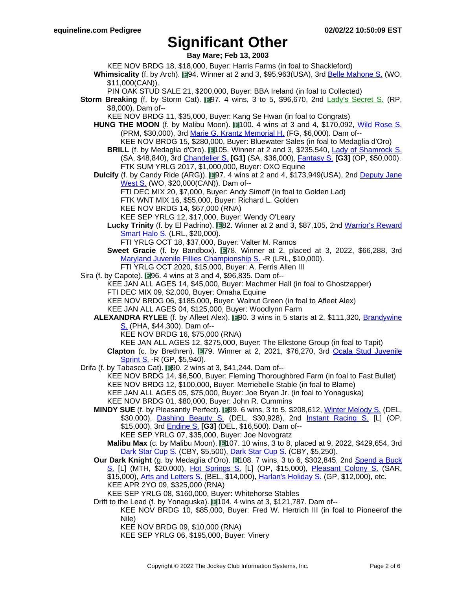**Bay Mare; Feb 13, 2003**

- KEE NOV BRDG 18, \$18,000, Buyer: Harris Farms (in foal to Shackleford)
- **Whimsicality** (f. by Arch). 194. Winner at 2 and 3, \$95,963(USA), 3rd Belle [Mahone](https://www.equineline.com/dotVideoChart.cfm?track=WO+&country=CAN&race_date=2016-09-05&raceid=mp4:2016/1308/201609051645WOT8_1308.mp4&refno=9308516®istry=T&race_name=Belle+Mahone+S.&race_number=8&day_evening=D&product_reference_number=40PA) S. (WO, \$11,000(CAN)).
	- PIN OAK STUD SALE 21, \$200,000, Buyer: BBA Ireland (in foal to Collected)
- **Storm Breaking** (f. by Storm Cat). 197. 4 wins, 3 to 5, \$96,670, 2nd Lady's [Secret](https://www.equineline.com/dotVideoChart.cfm?track=RP+&country=USA&race_date=2004-12-05&refno=5364493®istry=T&race_name=Lady) S. (RP, \$8,000). Dam of--
	- KEE NOV BRDG 11, \$35,000, Buyer: Kang Se Hwan (in foal to Congrats)
	- HUNG THE MOON (f. by Malibu Moon). 1100. 4 wins at 3 and 4, \$170,092, Wild [Rose](https://www.equineline.com/dotVideoChart.cfm?track=PRM&country=USA&race_date=2014-05-26&raceid=mp4:2014/1308/201405261612PMM6_1308.f4v&refno=8878466®istry=T&race_name=Wild+Rose+S.&race_number=6&day_evening=D&product_reference_number=40PA) S. (PRM, \$30,000), 3rd Marie G. Krantz [Memorial](https://www.equineline.com/dotVideoChart.cfm?track=FG+&country=USA&race_date=2015-01-17&raceid=mp4:2015/1308/201501171754JGD10_1308.f4v&refno=8878466®istry=T&race_name=Marie+G.+Krantz+Memorial+H.&race_number=10&day_evening=D&product_reference_number=40PA) H. (FG, \$6,000). Dam of-- KEE NOV BRDG 15, \$280,000, Buyer: Bluewater Sales (in foal to Medaglia d'Oro)
		- **BRILL** (f. by Medaglia d'Oro). 1105. Winner at 2 and 3, \$235,540, Lady of [Shamrock](https://www.equineline.com/dotVideoChart.cfm?track=SA+&country=USA&race_date=2019-12-28&raceid=mp4:2019/1308/201912281429SAD2_1308.mp4&refno=10123576®istry=T&race_name=Lady+of+Shamrock+S.&race_number=2&day_evening=D&product_reference_number=40PA) S. (SA, \$48,840), 3rd [Chandelier](https://www.equineline.com/dotVideoChart.cfm?track=SA+&country=USA&race_date=2018-09-29&raceid=mp4:2018/1308/201809291906SAD9_1308.mp4&refno=10123576®istry=T&race_name=Chandelier+S.&race_number=9&day_evening=D&product_reference_number=40PA) S. **[G1]** (SA, \$36,000), [Fantasy](https://www.equineline.com/dotVideoChart.cfm?track=OP+&country=USA&race_date=2019-04-12&raceid=mp4:2019/1308/201904121812OPM8_1308.mp4&refno=10123576®istry=T&race_name=Fantasy+S.&race_number=8&day_evening=D&product_reference_number=40PA) S. **[G3]** (OP, \$50,000). FTK SUM YRLG 2017, \$1,000,000, Buyer: OXO Equine
	- **Dulcify** (f. by Candy Ride (ARG)). **197.** 4 wins at 2 and 4, \$173,949(USA), 2nd [Deputy](https://www.equineline.com/dotVideoChart.cfm?track=WO+&country=CAN&race_date=2013-09-21&raceid=mp4:2013/1308/201309211345WOT3_1308.f4v&refno=9106657®istry=T&race_name=Deputy+Jane+West+S.&race_number=3&day_evening=D&product_reference_number=40PA) Jane [West](https://www.equineline.com/dotVideoChart.cfm?track=WO+&country=CAN&race_date=2013-09-21&raceid=mp4:2013/1308/201309211345WOT3_1308.f4v&refno=9106657®istry=T&race_name=Deputy+Jane+West+S.&race_number=3&day_evening=D&product_reference_number=40PA) S. (WO, \$20,000(CAN)). Dam of--
		- FTI DEC MIX 20, \$7,000, Buyer: Andy Simoff (in foal to Golden Lad)
		- FTK WNT MIX 16, \$55,000, Buyer: Richard L. Golden
		- KEE NOV BRDG 14, \$67,000 (RNA)
		- KEE SEP YRLG 12, \$17,000, Buyer: Wendy O'Leary
		- Lucky Trinity (f. by El Padrino). **1982.** Winner at 2 and 3, \$87,105, 2nd [Warrior's](https://www.equineline.com/dotVideoChart.cfm?track=LRL&country=USA&race_date=2019-11-16&raceid=mp4:2019/1308/201911161530LRM7_1308.mp4&refno=10309128®istry=T&race_name=Warrior) Reward [Smart](https://www.equineline.com/dotVideoChart.cfm?track=LRL&country=USA&race_date=2019-11-16&raceid=mp4:2019/1308/201911161530LRM7_1308.mp4&refno=10309128®istry=T&race_name=Warrior) Halo S. (LRL, \$20,000).
			- FTI YRLG OCT 18, \$37,000, Buyer: Valter M. Ramos
		- **Sweet Gracie** (f. by Bandbox). **1978.** Winner at 2, placed at 3, 2022, \$66,288, 3rd Maryland Juvenile Fillies [Championship](https://www.equineline.com/dotVideoChart.cfm?track=LRL&country=USA&race_date=2021-12-18&raceid=mp4:2021/1308/202112181517LRM7_1308.mp4&refno=10622631®istry=T&race_name=Maryland+Juvenile+Fillies+Championship+S.&race_number=7&day_evening=D&product_reference_number=40PA) S. -R (LRL, \$10,000). FTI YRLG OCT 2020, \$15,000, Buyer: A. Ferris Allen III
- Sira (f. by Capote).  $\blacksquare$ 96. 4 wins at 3 and 4, \$96,835. Dam of--
	- KEE JAN ALL AGES 14, \$45,000, Buyer: Machmer Hall (in foal to Ghostzapper)
	- FTI DEC MIX 09, \$2,000, Buyer: Omaha Equine
	- KEE NOV BRDG 06, \$185,000, Buyer: Walnut Green (in foal to Afleet Alex)
	- KEE JAN ALL AGES 04, \$125,000, Buyer: Woodlynn Farm
	- ALEXANDRA RYLEE (f. by Afleet Alex). **19**0. 3 wins in 5 starts at 2, \$111,320, B[randywine](https://www.equineline.com/dotVideoChart.cfm?track=PHA&country=USA&race_date=2010-12-21&raceid=mp4:2010/1308/201012211431PHD6_1308.f4v&refno=8302142®istry=T&race_name=Brandywine+S.&race_number=6&day_evening=D&product_reference_number=40PA) [S.](https://www.equineline.com/dotVideoChart.cfm?track=PHA&country=USA&race_date=2010-12-21&raceid=mp4:2010/1308/201012211431PHD6_1308.f4v&refno=8302142®istry=T&race_name=Brandywine+S.&race_number=6&day_evening=D&product_reference_number=40PA) (PHA, \$44,300). Dam of--
		- KEE NOV BRDG 16, \$75,000 (RNA)
		- KEE JAN ALL AGES 12, \$275,000, Buyer: The Elkstone Group (in foal to Tapit)
		- **Clapton** (c. by Brethren). 79. Winner at 2, 2021, \$76,270, 3rd Ocala Stud [Juvenile](https://www.equineline.com/dotVideoChart.cfm?track=GP+&country=USA&race_date=2021-10-30&raceid=mp4:2021/1308/202110301633GPM8_1308.mp4&refno=10603104®istry=T&race_name=Ocala+Stud+Juvenile+Sprint+S.&race_number=8&day_evening=D&product_reference_number=40PA) [Sprint](https://www.equineline.com/dotVideoChart.cfm?track=GP+&country=USA&race_date=2021-10-30&raceid=mp4:2021/1308/202110301633GPM8_1308.mp4&refno=10603104®istry=T&race_name=Ocala+Stud+Juvenile+Sprint+S.&race_number=8&day_evening=D&product_reference_number=40PA) S. -R (GP, \$5,940).
- Drifa (f. by Tabasco Cat).  $\Box$ 90. 2 wins at 3, \$41,244. Dam of--
	- KEE NOV BRDG 14, \$6,500, Buyer: Fleming Thoroughbred Farm (in foal to Fast Bullet) KEE NOV BRDG 12, \$100,000, Buyer: Merriebelle Stable (in foal to Blame) KEE JAN ALL AGES 05, \$75,000, Buyer: Joe Bryan Jr. (in foal to Yonaguska) KEE NOV BRDG 01, \$80,000, Buyer: John R. Cummins
	- **MINDY SUE** (f. by Pleasantly Perfect). 199. 6 wins, 3 to 5, \$208,612, Winter [Melody](https://www.equineline.com/dotVideoChart.cfm?track=DEL&country=USA&race_date=2010-05-08&raceid=mp4:2010/1308/201005081624DLD8_1308.f4v&refno=7783456®istry=T&race_name=Winter+Melody+S.&race_number=8&day_evening=D&product_reference_number=40PA) S. (DEL, \$30,000), [Dashing](https://www.equineline.com/dotVideoChart.cfm?track=DEL&country=USA&race_date=2010-08-04&raceid=mp4:2010/1308/201008041554DLD7_1308.f4v&refno=7783456®istry=T&race_name=Dashing+Beauty+S.&race_number=7&day_evening=D&product_reference_number=40PA) Beauty S. (DEL, \$30,928), 2nd Instant [Racing](https://www.equineline.com/dotVideoChart.cfm?track=OP+&country=USA&race_date=2009-04-11&raceid=mp4:2009/1308/200904111622OPM7_1308.f4v&refno=7783456®istry=T&race_name=Instant+Racing+S.&race_number=7&day_evening=D&product_reference_number=40PA) S. [L] (OP, \$15,000), 3rd [Endine](https://www.equineline.com/dotVideoChart.cfm?track=DEL&country=USA&race_date=2010-09-11&raceid=mp4:2010/1308/201009111659DLD9_1308.f4v&refno=7783456®istry=T&race_name=Endine+S.&race_number=9&day_evening=D&product_reference_number=40PA) S. **[G3]** (DEL, \$16,500). Dam of--
		- KEE SEP YRLG 07, \$35,000, Buyer: Joe Novogratz
		- **Malibu Max** (c. by Malibu Moon). 107. 10 wins, 3 to 8, placed at 9, 2022, \$429,654, 3rd [Dark](https://www.equineline.com/dotVideoChart.cfm?track=CBY&country=USA&race_date=2018-06-23&raceid=mp4:2018/1308/201806232207CBD6_1308.mp4&refno=9494460®istry=T&race_name=Dark+Star+Cup+S.&race_number=6&day_evening=D&product_reference_number=40PA) Star Cup S. (CBY, \$5,500), [Dark](https://www.equineline.com/dotVideoChart.cfm?track=CBY&country=USA&race_date=2019-06-22&raceid=mp4:2019/1308/201906222158CBD8_1308.mp4&refno=9494460®istry=T&race_name=Dark+Star+Cup+S.&race_number=8&day_evening=D&product_reference_number=40PA) Star Cup S. (CBY, \$5,250).
	- **Our Dark Knight** (g. by Medaglia d'Oro). 1108. 7 wins, 3 to 6, \$302,845, 2nd [Spend](https://www.equineline.com/dotVideoChart.cfm?track=MTH&country=USA&race_date=2010-05-23&raceid=mp4:2010/1308/201005231724MTD10_1308.f4v&refno=8101430®istry=T&race_name=Spend+a+Buck+S.&race_number=10&day_evening=D&product_reference_number=40PA) a Buck [S.](https://www.equineline.com/dotVideoChart.cfm?track=MTH&country=USA&race_date=2010-05-23&raceid=mp4:2010/1308/201005231724MTD10_1308.f4v&refno=8101430®istry=T&race_name=Spend+a+Buck+S.&race_number=10&day_evening=D&product_reference_number=40PA) [L] (MTH, \$20,000), Hot [Springs](https://www.equineline.com/dotVideoChart.cfm?track=OP+&country=USA&race_date=2012-03-24&raceid=mp4:2012/1308/201203241820OPM9_1308.f4v&refno=8101430®istry=T&race_name=Hot+Springs+S.&race_number=9&day_evening=D&product_reference_number=40PA) S. [L] (OP, \$15,000), Pleasant [Colony](https://www.equineline.com/dotVideoChart.cfm?track=SAR&country=USA&race_date=2010-08-27&raceid=mp4:2010/1308/201008271436STD4_1308.f4v&refno=8101430®istry=T&race_name=Pleasant+Colony+S.&race_number=4&day_evening=D&product_reference_number=40PA) S. (SAR, \$15,000), Arts and [Letters](https://www.equineline.com/dotVideoChart.cfm?track=BEL&country=USA&race_date=2010-10-24&raceid=mp4:2010/1308/201010241403BED3_1308.f4v&refno=8101430®istry=T&race_name=Arts+and+Letters+S.&race_number=3&day_evening=D&product_reference_number=40PA) S. (BEL, \$14,000), [Harlan's](https://www.equineline.com/dotVideoChart.cfm?track=GP+&country=USA&race_date=2011-12-17&raceid=mp4:2011/1308/201112171644GPM10_1308.f4v&refno=8101430®istry=T&race_name=Harlan) Holiday S. (GP, \$12,000), etc. KEE APR 2YO 09, \$325,000 (RNA)
	- KEE SEP YRLG 08, \$160,000, Buyer: Whitehorse Stables
	- Drift to the Lead (f. by Yonaguska). 104. 4 wins at 3, \$121,787. Dam of--
		- KEE NOV BRDG 10, \$85,000, Buyer: Fred W. Hertrich III (in foal to Pioneerof the Nile)
			- KEE NOV BRDG 09, \$10,000 (RNA)
			- KEE SEP YRLG 06, \$195,000, Buyer: Vinery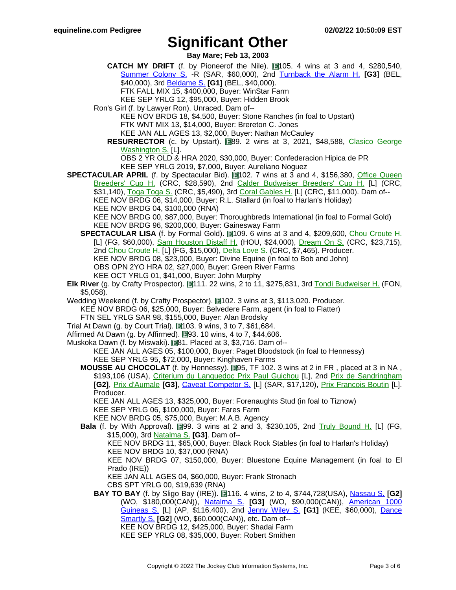**Bay Mare; Feb 13, 2003**

- **CATCH MY DRIFT** (f. by Pioneerof the Nile). 105. 4 wins at 3 and 4, \$280,540, [Summer](https://www.equineline.com/dotVideoChart.cfm?track=SAR&country=USA&race_date=2015-08-24&raceid=mp4:2015/1308/201508241656STD8_1308.f4v&refno=9079675®istry=T&race_name=Summer+Colony+S.&race_number=8&day_evening=D&product_reference_number=40PA) Colony S. -R (SAR, \$60,000), 2nd Turnback the [Alarm](https://www.equineline.com/dotVideoChart.cfm?track=BEL&country=USA&race_date=2014-10-26&raceid=mp4:2014/1308/201410261656BED9_1308.f4v&refno=9079675®istry=T&race_name=Turnback+the+Alarm+H.&race_number=9&day_evening=D&product_reference_number=40PA) H. **[G3]** (BEL, \$40,000), 3rd [Beldame](https://www.equineline.com/dotVideoChart.cfm?track=BEL&country=USA&race_date=2015-09-26&raceid=mp4:2015/1308/201509261505BED5_1308.f4v&refno=9079675®istry=T&race_name=Beldame+S.&race_number=5&day_evening=D&product_reference_number=40PA) S. **[G1]** (BEL, \$40,000). FTK FALL MIX 15, \$400,000, Buyer: WinStar Farm
	-
- KEE SEP YRLG 12, \$95,000, Buyer: Hidden Brook
- Ron's Girl (f. by Lawyer Ron). Unraced. Dam of--
	- KEE NOV BRDG 18, \$4,500, Buyer: Stone Ranches (in foal to Upstart)
	- FTK WNT MIX 13, \$14,000, Buyer: Brereton C. Jones
	- KEE JAN ALL AGES 13, \$2,000, Buyer: Nathan McCauley
	- RESURRECTOR (c. by Upstart). 889. 2 wins at 3, 2021, \$48,588, Clasico [George](https://www.equineline.com/dotVideoChart.cfm?track=CMR&country=PR+&race_date=2021-02-14&refno=10401364®istry=T&race_name=Clasico+George+Washington+S.&race_number=7&day_evening=D&product_reference_number=40PA) [Washington](https://www.equineline.com/dotVideoChart.cfm?track=CMR&country=PR+&race_date=2021-02-14&refno=10401364®istry=T&race_name=Clasico+George+Washington+S.&race_number=7&day_evening=D&product_reference_number=40PA) S. [L].

OBS 2 YR OLD & HRA 2020, \$30,000, Buyer: Confederacion Hipica de PR KEE SEP YRLG 2019, \$7,000, Buyer: Aureliano Noguez

- **SPECTACULAR APRIL** (f. by Spectacular Bid). **102. 7 wins at 3 and 4, \$156,380, Office [Queen](https://www.equineline.com/dotVideoChart.cfm?track=CRC&country=USA&race_date=1994-07-23&refno=1326492®istry=T&race_name=Office+Queen+Breeders)** [Breeders'](https://www.equineline.com/dotVideoChart.cfm?track=CRC&country=USA&race_date=1994-07-23&refno=1326492®istry=T&race_name=Office+Queen+Breeders) Cup H. (CRC, \$28,590), 2nd Calder [Budweiser](https://www.equineline.com/dotVideoChart.cfm?track=CRC&country=USA&race_date=1995-09-04&refno=1326492®istry=T&race_name=Calder+Budweiser+Breeders) Breeders' Cup H. [L] (CRC, \$31,140), [Toga](https://www.equineline.com/dotVideoChart.cfm?track=CRC&country=USA&race_date=1994-05-25&refno=1326492®istry=T&race_name=Toga+Toga+S.&race_number=9&day_evening=D&product_reference_number=40PA) Toga S. (CRC, \$5,490), 3rd Coral [Gables](https://www.equineline.com/dotVideoChart.cfm?track=CRC&country=USA&race_date=1995-11-11&refno=1326492®istry=T&race_name=Coral+Gables+H.&race_number=8&day_evening=D&product_reference_number=40PA) H. [L] (CRC, \$11,000). Dam of--KEE NOV BRDG 06, \$14,000, Buyer: R.L. Stallard (in foal to Harlan's Holiday)
	- KEE NOV BRDG 04, \$100,000 (RNA)

KEE NOV BRDG 00, \$87,000, Buyer: Thoroughbreds International (in foal to Formal Gold) KEE NOV BRDG 96, \$200,000, Buyer: Gainesway Farm

- **SPECTACULAR LISA** (f. by Formal Gold). 109. 6 wins at 3 and 4, \$209,600, Chou [Croute](https://www.equineline.com/dotVideoChart.cfm?track=FG+&country=USA&race_date=2004-02-21&refno=5357260®istry=T&race_name=Chou+Croute+H.&race_number=9&day_evening=D&product_reference_number=40PA) H. [L] (FG, \$60,000), Sam [Houston](https://www.equineline.com/dotVideoChart.cfm?track=HOU&country=USA&race_date=2004-01-17&refno=5357260®istry=T&race_name=Sam+Houston+Distaff+H.&race_number=9&day_evening=D&product_reference_number=40PA) Distaff H. (HOU, \$24,000), D[ream](https://www.equineline.com/dotVideoChart.cfm?track=CRC&country=USA&race_date=2003-08-24&refno=5357260®istry=T&race_name=Dream+On+S.&race_number=9&day_evening=D&product_reference_number=40PA) On S. (CRC, \$23,715), 2nd Chou [Croute](https://www.equineline.com/dotVideoChart.cfm?track=FG+&country=USA&race_date=2005-02-20&refno=5357260®istry=T&race_name=Chou+Croute+H.&race_number=9&day_evening=D&product_reference_number=40PA) H. [L] (FG, \$15,000), [Delta](https://www.equineline.com/dotVideoChart.cfm?track=CRC&country=USA&race_date=2003-07-07&refno=5357260®istry=T&race_name=Delta+Love+S.&race_number=5&day_evening=D&product_reference_number=40PA) Love S. (CRC, \$7,465). Producer. KEE NOV BRDG 08, \$23,000, Buyer: Divine Equine (in foal to Bob and John) OBS OPN 2YO HRA 02, \$27,000, Buyer: Green River Farms KEE OCT YRLG 01, \$41,000, Buyer: John Murphy
- **Elk River** (g. by Crafty Prospector). 111. 22 wins, 2 to 11, \$275,831, 3rd Tondi [Budweiser](https://www.equineline.com/dotVideoChart.cfm?track=FON&country=USA&race_date=1995-04-30&refno=1217875®istry=T&race_name=Tondi+Budweiser+H.&race_number=11&day_evening=D&product_reference_number=40PA) H. (FON, \$5,058).

Wedding Weekend (f. by Crafty Prospector). 1102. 3 wins at 3, \$113,020. Producer. KEE NOV BRDG 06, \$25,000, Buyer: Belvedere Farm, agent (in foal to Flatter) FTN SEL YRLG SAR 98, \$155,000, Buyer: Alan Brodsky

- Trial At Dawn (g. by Court Trial).  $\blacksquare$ 103. 9 wins, 3 to 7, \$61,684.
- Affirmed At Dawn (g. by Affirmed).  $\Box$ 93. 10 wins, 4 to 7, \$44,606.
- Muskoka Dawn (f. by Miswaki). 81. Placed at 3, \$3,716. Dam of--

KEE JAN ALL AGES 05, \$100,000, Buyer: Paget Bloodstock (in foal to Hennessy) KEE SEP YRLG 95, \$72,000, Buyer: Kinghaven Farms

**MOUSSE AU CHOCOLAT** (f. by Hennessy). **[3**95, TF 102. 3 wins at 2 in FR, placed at 3 in NA, \$193,106 (USA), Criterium du [Languedoc](https://www.equineline.com/dotVideoChart.cfm?track=TOU&country=FR+&race_date=2007-11-10&refno=7376297®istry=T&race_name=Criterium+du+Languedoc+Prix+Paul+Guichou&race_number=5938&day_evening=D&product_reference_number=40PA) Prix Paul Guichou [L], 2nd Prix de [Sandringham](https://www.equineline.com/dotVideoChart.cfm?track=CHY&country=FR+&race_date=2008-06-01&refno=7376297®istry=T&race_name=Prix+de+Sandringham&race_number=435&day_evening=D&product_reference_number=40PA) **[G2]**, Prix [d'Aumale](https://www.equineline.com/dotVideoChart.cfm?track=CHY&country=FR+&race_date=2007-09-17&refno=7376297®istry=T&race_name=Prix+d) **[G3]**, Caveat [Competor](https://www.equineline.com/dotVideoChart.cfm?track=SAR&country=USA&race_date=2008-08-31&raceid=mp4:2008/1308/200808311642STD8_1308.f4v&refno=7376297®istry=T&race_name=Caveat+Competor+S.&race_number=8&day_evening=D&product_reference_number=40PA) S. [L] (SAR, \$17,120), Prix [Francois](https://www.equineline.com/dotVideoChart.cfm?track=DEA&country=FR+&race_date=2007-08-12&refno=7376297®istry=T&race_name=Prix+Francois+Boutin&race_number=682&day_evening=D&product_reference_number=40PA) Boutin [L]. Producer.

KEE JAN ALL AGES 13, \$325,000, Buyer: Forenaughts Stud (in foal to Tiznow) KEE SEP YRLG 06, \$100,000, Buyer: Fares Farm

KEE NOV BRDG 05, \$75,000, Buyer: M.A.B. Agency

**Bala** (f. by With Approval). **199.** 3 wins at 2 and 3, \$230,105, 2nd Truly [Bound](https://www.equineline.com/dotVideoChart.cfm?track=FG+&country=USA&race_date=2003-01-03&refno=4972270®istry=T&race_name=Truly+Bound+H.&race_number=9&day_evening=D&product_reference_number=40PA) H. [L] (FG, \$15,000), 3rd [Natalma](https://www.equineline.com/dotVideoChart.cfm?track=WO+&country=CAN&race_date=2001-09-08&refno=4972270®istry=T&race_name=Natalma+S.&race_number=7&day_evening=D&product_reference_number=40PA) S. **[G3]**. Dam of--

KEE NOV BRDG 11, \$65,000, Buyer: Black Rock Stables (in foal to Harlan's Holiday) KEE NOV BRDG 10, \$37,000 (RNA)

KEE NOV BRDG 07, \$150,000, Buyer: Bluestone Equine Management (in foal to El Prado (IRE))

KEE JAN ALL AGES 04, \$60,000, Buyer: Frank Stronach

- CBS SPT YRLG 00, \$19,639 (RNA)
- **BAY TO BAY** (f. by Sligo Bay (IRE)). 116. 4 wins, 2 to 4, \$744,728(USA), N[assau](https://www.equineline.com/dotVideoChart.cfm?track=WO+&country=CAN&race_date=2011-06-04&raceid=mp4:2011/1308/201106041637WOT8_1308.f4v&refno=8026370®istry=T&race_name=Nassau+S.&race_number=8&day_evening=D&product_reference_number=40PA) S. **[G2]** (WO, \$180,000(CAN)), N[atalma](https://www.equineline.com/dotVideoChart.cfm?track=WO+&country=CAN&race_date=2009-09-19&raceid=mp4:2009/1308/200909191457WOT5_1308.f4v&refno=8026370®istry=T&race_name=Natalma+S.&race_number=5&day_evening=D&product_reference_number=40PA) S. **[G3]** (WO, \$90,000(CAN)), American [1000](https://www.equineline.com/dotVideoChart.cfm?track=AP+&country=USA&race_date=2010-05-22&raceid=mp4:2010/1308/201005221826APM9_1308.f4v&refno=8026370®istry=T&race_name=American+1000+Guineas+S.&race_number=9&day_evening=D&product_reference_number=40PA) [Guineas](https://www.equineline.com/dotVideoChart.cfm?track=AP+&country=USA&race_date=2010-05-22&raceid=mp4:2010/1308/201005221826APM9_1308.f4v&refno=8026370®istry=T&race_name=American+1000+Guineas+S.&race_number=9&day_evening=D&product_reference_number=40PA) S. [L] (AP, \$116,400), 2nd Jenny [Wiley](https://www.equineline.com/dotVideoChart.cfm?track=KEE&country=USA&race_date=2012-04-14&raceid=mp4:2012/1308/201204141640KED8_1308.f4v&refno=8026370®istry=T&race_name=Jenny+Wiley+S.&race_number=8&day_evening=D&product_reference_number=40PA) S. **[G1]** (KEE, \$60,000), Danc[e](https://www.equineline.com/dotVideoChart.cfm?track=WO+&country=CAN&race_date=2011-07-10&raceid=mp4:2011/1308/201107101637WOT8_1308.f4v&refno=8026370®istry=T&race_name=Dance+Smartly+S.&race_number=8&day_evening=D&product_reference_number=40PA) [Smartly](https://www.equineline.com/dotVideoChart.cfm?track=WO+&country=CAN&race_date=2011-07-10&raceid=mp4:2011/1308/201107101637WOT8_1308.f4v&refno=8026370®istry=T&race_name=Dance+Smartly+S.&race_number=8&day_evening=D&product_reference_number=40PA) S. **[G2]** (WO, \$60,000(CAN)), etc. Dam of-- KEE NOV BRDG 12, \$425,000, Buyer: Shadai Farm

KEE SEP YRLG 08, \$35,000, Buyer: Robert Smithen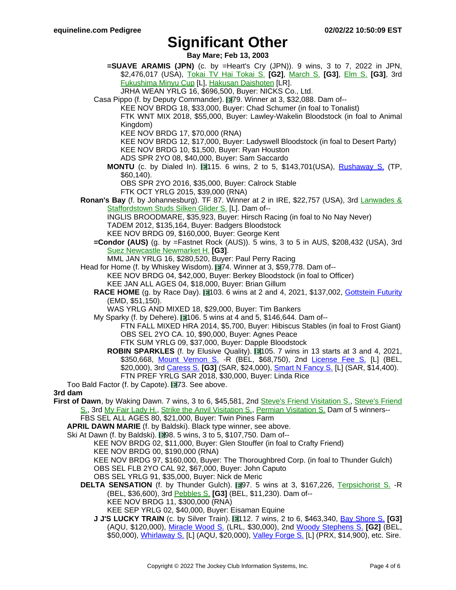**Bay Mare; Feb 13, 2003**

**=SUAVE ARAMIS (JPN)** (c. by =Heart's Cry (JPN)). 9 wins, 3 to 7, 2022 in JPN, \$2,476,017 (USA), Tokai TV Hai [Tokai](https://www.equineline.com/dotVideoChart.cfm?track=CYO&country=JPN&race_date=2022-01-23&refno=10112919®istry=T&race_name=Tokai+TV+Hai+Tokai+S.&race_number=11&day_evening=D&product_reference_number=40PA) S. **[G2]**, Ma[rch](https://www.equineline.com/dotVideoChart.cfm?track=NAK&country=JPN&race_date=2020-03-31&refno=10112919®istry=T&race_name=March+S.&race_number=11&day_evening=D&product_reference_number=40PA) S. **[G3]**, Elm S. **[\[G3\]](https://www.equineline.com/dotVideoChart.cfm?track=HAK&country=JPN&race_date=2021-08-08&refno=10112919®istry=T&race_name=Elm+S.&race_number=11&day_evening=D&product_reference_number=40PA)**, 3rd [Fukushima](https://www.equineline.com/dotVideoChart.cfm?track=FKS&country=JPN&race_date=2019-11-17&refno=10112919®istry=T&race_name=Fukushima+Minyu+Cup&race_number=11&day_evening=D&product_reference_number=40PA) Minyu Cup [L], Hakusan [Daishoten](https://www.equineline.com/dotVideoChart.cfm?track=KAN&country=JPN&race_date=2021-09-22&refno=10112919®istry=T&race_name=Hakusan+Daishoten&race_number=8&day_evening=D&product_reference_number=40PA) [LR].

JRHA WEAN YRLG 16, \$696,500, Buyer: NICKS Co., Ltd.

Casa Pippo (f. by Deputy Commander). 179. Winner at 3, \$32,088. Dam of--

KEE NOV BRDG 18, \$33,000, Buyer: Chad Schumer (in foal to Tonalist)

FTK WNT MIX 2018, \$55,000, Buyer: Lawley-Wakelin Bloodstock (in foal to Animal Kingdom)

KEE NOV BRDG 17, \$70,000 (RNA)

KEE NOV BRDG 12, \$17,000, Buyer: Ladyswell Bloodstock (in foal to Desert Party)

KEE NOV BRDG 10, \$1,500, Buyer: Ryan Houston

- ADS SPR 2YO 08, \$40,000, Buyer: Sam Saccardo
- **MONTU** (c. by Dialed In). 115. 6 wins, 2 to 5, \$143,701 (USA), Rushaway S. [\(TP,](https://www.equineline.com/dotVideoChart.cfm?track=TP+&country=USA&race_date=2017-03-25&raceid=mp4:2017/1308/201703251634TPD8_1308.mp4&refno=9703230®istry=T&race_name=Rushaway+S.&race_number=8&day_evening=D&product_reference_number=40PA) \$60,140).

OBS SPR 2YO 2016, \$35,000, Buyer: Calrock Stable

- FTK OCT YRLG 2015, \$39,000 (RNA)
- **Ronan's Bay** (f. by Johannesburg). TF 87. Winner at 2 in IRE, \$22,757 (USA), 3rd L[anwades](https://www.equineline.com/dotVideoChart.cfm?track=CUR&country=IRE&race_date=2011-10-09&refno=8542776®istry=T&race_name=Lanwades+&+Staffordstown+Studs+Silken+Glider+S.&race_number=1445&day_evening=D&product_reference_number=40PA) & [Staffordstown](https://www.equineline.com/dotVideoChart.cfm?track=CUR&country=IRE&race_date=2011-10-09&refno=8542776®istry=T&race_name=Lanwades+&+Staffordstown+Studs+Silken+Glider+S.&race_number=1445&day_evening=D&product_reference_number=40PA) Studs Silken Glider S. [L]. Dam of--

INGLIS BROODMARE, \$35,923, Buyer: Hirsch Racing (in foal to No Nay Never) TADEM 2012, \$135,164, Buyer: Badgers Bloodstock

- KEE NOV BRDG 09, \$160,000, Buyer: George Kent
- **=Condor (AUS)** (g. by =Fastnet Rock (AUS)). 5 wins, 3 to 5 in AUS, \$208,432 (USA), 3rd Suez Newcastle [Newmarket](https://www.equineline.com/dotVideoChart.cfm?track=ANC&country=AUS&race_date=2020-03-06&refno=9774312®istry=T&race_name=Suez+Newcastle+Newmarket+H.&race_number=7&day_evening=D&product_reference_number=40PA) H. **[G3]**.

MML JAN YRLG 16, \$280,520, Buyer: Paul Perry Racing

Head for Home (f. by Whiskey Wisdom). **174.** Winner at 3, \$59,778. Dam of--KEE NOV BRDG 04, \$42,000, Buyer: Berkey Bloodstock (in foal to Officer) KEE JAN ALL AGES 04, \$18,000, Buyer: Brian Gillum

- **RACE HOME** (g. by Race Day). **103. 6 wins at 2 and 4, 2021, \$137,002, [Gottstein](https://www.equineline.com/dotVideoChart.cfm?track=EMD&country=USA&race_date=2019-09-22&raceid=mp4:2019/1308/201909222107EMD9_1308.mp4&refno=10269030®istry=T&race_name=Gottstein+Futurity&race_number=9&day_evening=D&product_reference_number=40PA) Futurity** (EMD, \$51,150).
	- WAS YRLG AND MIXED 18, \$29,000, Buyer: Tim Bankers

My Sparky (f. by Dehere).  $106.5$  wins at 4 and 5, \$146,644. Dam of--

FTN FALL MIXED HRA 2014, \$5,700, Buyer: Hibiscus Stables (in foal to Frost Giant) OBS SEL 2YO CA. 10, \$90,000, Buyer: Agnes Peace

FTK SUM YRLG 09, \$37,000, Buyer: Dapple Bloodstock

**ROBIN SPARKLES** (f. by Elusive Quality). **14** 105. 7 wins in 13 starts at 3 and 4, 2021, \$350,668, Mount [Vernon](https://www.equineline.com/dotVideoChart.cfm?track=BEL&country=USA&race_date=2021-05-31&raceid=mp4:2021/1308/202105311532BED6_1308.mp4&refno=10284397®istry=T&race_name=Mount+Vernon+S.&race_number=6&day_evening=D&product_reference_number=40PA) S. -R (BEL, \$68,750), 2nd License [Fee](https://www.equineline.com/dotVideoChart.cfm?track=BEL&country=USA&race_date=2021-04-30&raceid=mp4:2021/1308/202104301708BED9_1308.mp4&refno=10284397®istry=T&race_name=License+Fee+S.&race_number=9&day_evening=D&product_reference_number=40PA) S. [L] (BEL, \$20,000), 3rd [Caress](https://www.equineline.com/dotVideoChart.cfm?track=SAR&country=USA&race_date=2021-07-24&raceid=mp4:2021/1308/202107241812STD10_1308.mp4&refno=10284397®istry=T&race_name=Caress+S.&race_number=10&day_evening=D&product_reference_number=40PA) S. **[G3]** (SAR, \$24,000), Smart N [Fancy](https://www.equineline.com/dotVideoChart.cfm?track=SAR&country=USA&race_date=2021-08-21&raceid=mp4:2021/1308/202108211414STD3_1308.mp4&refno=10284397®istry=T&race_name=Smart+N+Fancy+S.&race_number=3&day_evening=D&product_reference_number=40PA) S. [L] (SAR, \$14,400). FTN PREF YRLG SAR 2018, \$30,000, Buyer: Linda Rice

Too Bald Factor (f. by Capote). 73. See above.

#### **3rd dam**

First of Dawn, by Waking Dawn. 7 wins, 3 to 6, \$45,581, 2nd Steve's Friend [Visitation](https://www.equineline.com/dotVideoChart.cfm?track=FD+&country=USA&race_date=1979-02-08&refno=161851®istry=T&race_name=Steve) S., Steve's [Friend](https://www.equineline.com/dotVideoChart.cfm?track=FD+&country=USA&race_date=1979-02-22&refno=161851®istry=T&race_name=Steve) [S.](https://www.equineline.com/dotVideoChart.cfm?track=FD+&country=USA&race_date=1979-02-22&refno=161851®istry=T&race_name=Steve), 3rd My Fair [Lady](https://www.equineline.com/dotVideoChart.cfm?track=SUF&country=USA&race_date=1979-05-12&refno=161851®istry=T&race_name=My+Fair+Lady+H.&race_number=9&day_evening=D&product_reference_number=40PA) H., Strike the Anvil [Visitation](https://www.equineline.com/dotVideoChart.cfm?track=FD+&country=USA&race_date=1977-01-27&refno=161851®istry=T&race_name=Permian+Visitation+S.&race_number=9&day_evening=D&product_reference_number=40PA) S., Permian Visitation S. Dam of 5 winners--

FBS SEL ALL AGES 80, \$21,000, Buyer: Twin Pines Farm

**APRIL DAWN MARIE** (f. by Baldski). Black type winner, see above.

Ski At Dawn (f. by Baldski). 198. 5 wins, 3 to 5, \$107,750. Dam of--

KEE NOV BRDG 02, \$11,000, Buyer: Glen Stouffer (in foal to Crafty Friend) KEE NOV BRDG 00, \$190,000 (RNA)

KEE NOV BRDG 97, \$160,000, Buyer: The Thoroughbred Corp. (in foal to Thunder Gulch) OBS SEL FLB 2YO CAL 92, \$67,000, Buyer: John Caputo

- OBS SEL YRLG 91, \$35,000, Buyer: Nick de Meric
- **DELTA SENSATION** (f. by Thunder Gulch). **197.** 5 wins at 3, \$167,226, Terp[sichorist](https://www.equineline.com/dotVideoChart.cfm?track=BEL&country=USA&race_date=2004-05-27&refno=6088674®istry=T&race_name=Terpsichorist+S.&race_number=8&day_evening=D&product_reference_number=40PA) S. -R (BEL, \$36,600), 3rd [Pebbles](https://www.equineline.com/dotVideoChart.cfm?track=BEL&country=USA&race_date=2004-10-11&refno=6088674®istry=T&race_name=Pebbles+S.&race_number=9&day_evening=D&product_reference_number=40PA) S. **[G3]** (BEL, \$11,230). Dam of-- KEE NOV BRDG 11, \$300,000 (RNA)

KEE SEP YRLG 02, \$40,000, Buyer: Eisaman Equine

**J J'S LUCKY TRAIN** (c. by Silver Train). 112. 7 wins, 2 to 6, \$463,340, Bay [Shore](https://www.equineline.com/dotVideoChart.cfm?track=AQU&country=USA&race_date=2011-04-09&raceid=mp4:2011/1308/201104091641AQD8_1308.f4v&refno=8286429®istry=T&race_name=Bay+Shore+S.&race_number=8&day_evening=D&product_reference_number=40PA) S. [G3] (AQU, \$120,000), [Miracle](https://www.equineline.com/dotVideoChart.cfm?track=LRL&country=USA&race_date=2011-02-26&raceid=mp4:2011/1308/201102261605LRM8_1308.f4v&refno=8286429®istry=T&race_name=Miracle+Wood+S.&race_number=8&day_evening=D&product_reference_number=40PA) Wood S. (LRL, \$30,000), 2nd Woody [Stephens](https://www.equineline.com/dotVideoChart.cfm?track=BEL&country=USA&race_date=2011-06-11&raceid=mp4:2011/1308/201106111557BED8_1308.f4v&refno=8286429®istry=T&race_name=Woody+Stephens+S.&race_number=8&day_evening=D&product_reference_number=40PA) S. **[G2]** (BEL, \$50,000), [Whirlaway](https://www.equineline.com/dotVideoChart.cfm?track=AQU&country=USA&race_date=2011-02-05&raceid=mp4:2011/1308/201102051548AQD8_1308.f4v&refno=8286429®istry=T&race_name=Whirlaway+S.&race_number=8&day_evening=D&product_reference_number=40PA) S. [L] (AQU, \$20,000), [Valley](https://www.equineline.com/dotVideoChart.cfm?track=PRX&country=USA&race_date=2011-12-20&raceid=mp4:2011/1308/201112201533PHD8_1308.f4v&refno=8286429®istry=T&race_name=Valley+Forge+S.&race_number=8&day_evening=D&product_reference_number=40PA) Forge S. [L] (PRX, \$14,900), etc. Sire.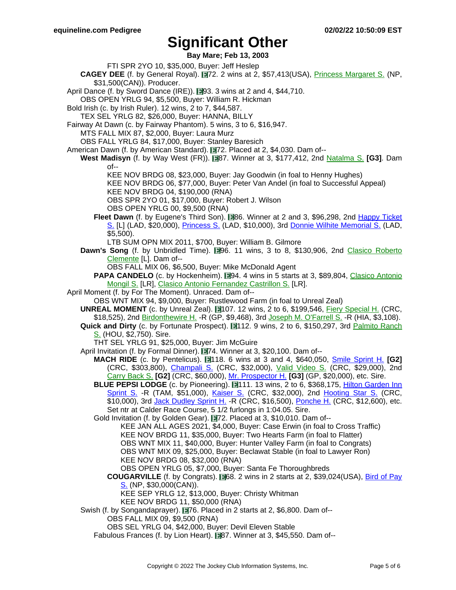**Bay Mare; Feb 13, 2003**

- FTI SPR 2YO 10, \$35,000, Buyer: Jeff Heslep
- **CAGEY DEE** (f. by General Royal). 172. 2 wins at 2, \$57,413(USA), Princess [Margaret](https://www.equineline.com/dotVideoChart.cfm?track=NP+&country=CAN&race_date=2006-08-05&refno=7164629®istry=T&race_name=Princess+Margaret+S.&race_number=8&day_evening=D&product_reference_number=40PA) S. (NP, \$31,500(CAN)). Producer.
- April Dance (f. by Sword Dance (IRE)).  $\blacksquare$ 93. 3 wins at 2 and 4, \$44,710.
- OBS OPEN YRLG 94, \$5,500, Buyer: William R. Hickman
- Bold Irish (c. by Irish Ruler). 12 wins, 2 to 7, \$44,587.
	- TEX SEL YRLG 82, \$26,000, Buyer: HANNA, BILLY
- Fairway At Dawn (c. by Fairway Phantom). 5 wins, 3 to 6, \$16,947.
	- MTS FALL MIX 87, \$2,000, Buyer: Laura Murz
	- OBS FALL YRLG 84, \$17,000, Buyer: Stanley Baresich
- American Dawn (f. by American Standard). 172. Placed at 2, \$4,030. Dam of--
	- **West Madisyn** (f. by Way West (FR)). **1987**. Winner at 3, \$177,412, 2nd N[atalma](https://www.equineline.com/dotVideoChart.cfm?track=WO+&country=CAN&race_date=2001-09-08&refno=5030396®istry=T&race_name=Natalma+S.&race_number=6&day_evening=D&product_reference_number=40PA) S. **[G3]**. Dam  $of--$ 
		- KEE NOV BRDG 08, \$23,000, Buyer: Jay Goodwin (in foal to Henny Hughes)
		- KEE NOV BRDG 06, \$77,000, Buyer: Peter Van Andel (in foal to Successful Appeal)
		- KEE NOV BRDG 04, \$190,000 (RNA)
		- OBS SPR 2YO 01, \$17,000, Buyer: Robert J. Wilson
		- OBS OPEN YRLG 00, \$9,500 (RNA)
		- Fleet Dawn (f. by Eugene's Third Son). 866. Winner at 2 and 3, \$96,298, 2nd Happy [Ticket](https://www.equineline.com/dotVideoChart.cfm?track=LAD&country=USA&race_date=2012-09-08&raceid=mp4:2012/1308/201209081848LDM11_1308.f4v&refno=8882598®istry=T&race_name=Happy+Ticket+S.&race_number=11&day_evening=D&product_reference_number=40PA) [S.](https://www.equineline.com/dotVideoChart.cfm?track=LAD&country=USA&race_date=2012-09-08&raceid=mp4:2012/1308/201209081848LDM11_1308.f4v&refno=8882598®istry=T&race_name=Happy+Ticket+S.&race_number=11&day_evening=D&product_reference_number=40PA) [L] (LAD, \$20,000), [Princess](https://www.equineline.com/dotVideoChart.cfm?track=LAD&country=USA&race_date=2012-06-23&raceid=mp4:2012/1308/201206231731LDM7_1308.f4v&refno=8882598®istry=T&race_name=Princess+S.&race_number=7&day_evening=D&product_reference_number=40PA) S. (LAD, \$10,000), 3rd Donnie Wilhite [Memorial](https://www.equineline.com/dotVideoChart.cfm?track=LAD&country=USA&race_date=2012-08-04&raceid=mp4:2012/1308/201208041625LDM5_1308.f4v&refno=8882598®istry=T&race_name=Donnie+Wilhite+Memorial+S.&race_number=5&day_evening=D&product_reference_number=40PA) S. (LAD, \$5,500).
			- LTB SUM OPN MIX 2011, \$700, Buyer: William B. Gilmore
	- **Dawn's Song** (f. by Unbridled Time). 196. 11 wins, 3 to 8, \$130,906, 2nd Clasico [Roberto](https://www.equineline.com/dotVideoChart.cfm?track=CMR&country=PR+&race_date=2012-08-26&refno=7834235®istry=T&race_name=Clasico+Roberto+Clemente&race_number=7&day_evening=D&product_reference_number=40PA) [Clemente](https://www.equineline.com/dotVideoChart.cfm?track=CMR&country=PR+&race_date=2012-08-26&refno=7834235®istry=T&race_name=Clasico+Roberto+Clemente&race_number=7&day_evening=D&product_reference_number=40PA) [L]. Dam of--
		- OBS FALL MIX 06, \$6,500, Buyer: Mike McDonald Agent
		- **PAPA CANDELO** (c. by Hockenheim). 194. 4 wins in 5 starts at 3, \$89,804, Clasico [Antonio](https://www.equineline.com/dotVideoChart.cfm?track=CMR&country=PR+&race_date=2019-08-18&refno=10111259®istry=T&race_name=Clasico+Antonio+Mongil+S.&race_number=8&day_evening=D&product_reference_number=40PA) [Mongil](https://www.equineline.com/dotVideoChart.cfm?track=CMR&country=PR+&race_date=2019-08-18&refno=10111259®istry=T&race_name=Clasico+Antonio+Mongil+S.&race_number=8&day_evening=D&product_reference_number=40PA) S. [LR], Clasico Antonio [Fernandez](https://www.equineline.com/dotVideoChart.cfm?track=CMR&country=PR+&race_date=2019-10-06&refno=10111259®istry=T&race_name=Clasico+Antonio+Fernandez+Castrillon+S.&race_number=8&day_evening=D&product_reference_number=40PA) Castrillon S. [LR].
- April Moment (f. by For The Moment). Unraced. Dam of--
	- OBS WNT MIX 94, \$9,000, Buyer: Rustlewood Farm (in foal to Unreal Zeal)
	- UNREAL MOMENT (c. by Unreal Zeal). 107. 12 wins, 2 to 6, \$199,546, Fiery [Special](https://www.equineline.com/dotVideoChart.cfm?track=CRC&country=USA&race_date=1997-10-13&refno=1430080®istry=T&race_name=Fiery+Special+H.&race_number=9&day_evening=D&product_reference_number=40PA) H. (CRC, \$18,525), 2nd [Birdonthewire](https://www.equineline.com/dotVideoChart.cfm?track=GP+&country=USA&race_date=1998-01-15&refno=1430080®istry=T&race_name=Birdonthewire+H.&race_number=9&day_evening=D&product_reference_number=40PA) H. -R (GP, \$9,468), 3rd Joseph M. [O'Farrell](https://www.equineline.com/dotVideoChart.cfm?track=HIA&country=USA&race_date=1997-05-04&refno=1430080®istry=T&race_name=Joseph+M.+O) S. -R (HIA, \$3,108).
	- **Quick and Dirty** (c. by Fortunate Prospect). **112. 9 wins, 2 to 6, \$150,297, 3rd Palmito [Ranch](https://www.equineline.com/dotVideoChart.cfm?track=HOU&country=USA&race_date=1994-06-18&refno=1301454®istry=T&race_name=Palmito+Ranch+S.&race_number=4&day_evening=D&product_reference_number=40PA)** [S.](https://www.equineline.com/dotVideoChart.cfm?track=HOU&country=USA&race_date=1994-06-18&refno=1301454®istry=T&race_name=Palmito+Ranch+S.&race_number=4&day_evening=D&product_reference_number=40PA) (HOU, \$2,750). Sire.
	- THT SEL YRLG 91, \$25,000, Buyer: Jim McGuire
	- April Invitation (f. by Formal Dinner). 174. Winner at 3, \$20,100. Dam of--
		- **MACH RIDE** (c. by Pentelicus). 118. 6 wins at 3 and 4, \$640,050, Smile [Sprint](https://www.equineline.com/dotVideoChart.cfm?track=CRC&country=USA&race_date=2007-07-07&raceid=mp4:2007/300/200707071817CRM12_300.f4v&refno=6885830®istry=T&race_name=Smile+Sprint+H.&race_number=12&day_evening=D&product_reference_number=40PA) H. **[G2]** (CRC, \$303,800), *[Champali](https://www.equineline.com/dotVideoChart.cfm?track=CRC&country=USA&race_date=2007-06-16&raceid=mp4:2007/300/200706161807CRM12_300.f4v&refno=6885830®istry=T&race_name=Champali+S.&race_number=12&day_evening=D&product_reference_number=40PA) S.* (CRC, \$32,000), *Valid [Video](https://www.equineline.com/dotVideoChart.cfm?track=CRC&country=USA&race_date=2006-06-18&refno=6885830®istry=T&race_name=Valid+Video+S.&race_number=10&day_evening=D&product_reference_number=40PA) S.* (CRC, \$29,000), 2nd [Carry](https://www.equineline.com/dotVideoChart.cfm?track=CRC&country=USA&race_date=2006-07-15&refno=6885830®istry=T&race_name=Carry+Back+S.&race_number=9&day_evening=D&product_reference_number=40PA) Back S. **[G2]** (CRC, \$60,000), Mr. [Prospector](https://www.equineline.com/dotVideoChart.cfm?track=GP+&country=USA&race_date=2008-01-05&raceid=mp4:2008/771/200801051553GPM7_771.f4v&refno=6885830®istry=T&race_name=Mr.+Prospector+H.&race_number=7&day_evening=D&product_reference_number=40PA) H. **[G3]** (GP, \$20,000), etc. Sire.
			- **BLUE PEPSI LODGE** (c. by Pioneering). 111. 13 wins, 2 to 6, \$368,175, Hilton [Garden](https://www.equineline.com/dotVideoChart.cfm?track=TAM&country=USA&race_date=2008-04-05&raceid=mp4:2008/400/200804051551TAM10_400.f4v&refno=6488882®istry=T&race_name=Hilton+Garden+Inn+Sprint+S.&race_number=10&day_evening=D&product_reference_number=40PA) Inn [Sprint](https://www.equineline.com/dotVideoChart.cfm?track=TAM&country=USA&race_date=2008-04-05&raceid=mp4:2008/400/200804051551TAM10_400.f4v&refno=6488882®istry=T&race_name=Hilton+Garden+Inn+Sprint+S.&race_number=10&day_evening=D&product_reference_number=40PA) S. -R (TAM, \$51,000), K[aiser](https://www.equineline.com/dotVideoChart.cfm?track=CRC&country=USA&race_date=2007-12-16&raceid=mp4:2007/771/200712161405CRM5_771.f4v&refno=6488882®istry=T&race_name=Kaiser+S.&race_number=5&day_evening=D&product_reference_number=40PA) S. (CRC, \$32,000), 2nd Hooting [Star](https://www.equineline.com/dotVideoChart.cfm?track=CRC&country=USA&race_date=2008-08-09&raceid=mp4:2008/1308/200808091339CRM3_1308.f4v&refno=6488882®istry=T&race_name=Hooting+Star+S.&race_number=3&day_evening=D&product_reference_number=40PA) S. (CRC, \$10,000), 3rd Jack [Dudley](https://www.equineline.com/dotVideoChart.cfm?track=CRC&country=USA&race_date=2007-11-10&raceid=mp4:2007/771/200711101501CRM7_771.f4v&refno=6488882®istry=T&race_name=Jack+Dudley+Sprint+H.&race_number=7&day_evening=D&product_reference_number=40PA) Sprint H. -R (CRC, \$16,500), [Ponche](https://www.equineline.com/dotVideoChart.cfm?track=CRC&country=USA&race_date=2008-06-14&raceid=mp4:2008/1308/200806142222CRM12_1308.f4v&refno=6488882®istry=T&race_name=Ponche+H.&race_number=12&day_evening=D&product_reference_number=40PA) H. (CRC, \$12,600), etc. Set ntr at Calder Race Course, 5 1/2 furlongs in 1:04.05. Sire.
			- Gold Invitation (f. by Golden Gear). 172. Placed at 3, \$10,010. Dam of--
				- KEE JAN ALL AGES 2021, \$4,000, Buyer: Case Erwin (in foal to Cross Traffic) KEE NOV BRDG 11, \$35,000, Buyer: Two Hearts Farm (in foal to Flatter) OBS WNT MIX 11, \$40,000, Buyer: Hunter Valley Farm (in foal to Congrats) OBS WNT MIX 09, \$25,000, Buyer: Beclawat Stable (in foal to Lawyer Ron) KEE NOV BRDG 08, \$32,000 (RNA)
				- OBS OPEN YRLG 05, \$7,000, Buyer: Santa Fe Thoroughbreds
				- **COUGARVILLE** (f. by Congrats). **188.** 2 wins in 2 starts at 2, \$39,024(USA), Bird of [Pay](https://www.equineline.com/dotVideoChart.cfm?track=NP+&country=CAN&race_date=2013-08-24&raceid=mp4:2013/1308/201308241801NDT7_1308.f4v&refno=9117579®istry=T&race_name=Bird+of+Pay+S.&race_number=7&day_evening=D&product_reference_number=40PA)  $S.$  (NP, \$30,000(CAN)).
					- KEE SEP YRLG 12, \$13,000, Buyer: Christy Whitman
					- KEE NOV BRDG 11, \$50,000 (RNA)
	- Swish (f. by Songandaprayer). 176. Placed in 2 starts at 2, \$6,800. Dam of--OBS FALL MIX 09, \$9,500 (RNA)
		- OBS SEL YRLG 04, \$42,000, Buyer: Devil Eleven Stable
		- Fabulous Frances (f. by Lion Heart). 87. Winner at 3, \$45,550. Dam of--